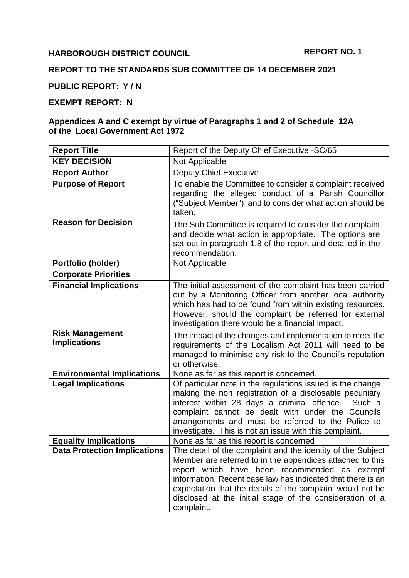### **HARBOROUGH DISTRICT COUNCIL**

# **REPORT TO THE STANDARDS SUB COMMITTEE OF 14 DECEMBER 2021**

**PUBLIC REPORT: Y / N**

# **EXEMPT REPORT: N**

#### **Appendices A and C exempt by virtue of Paragraphs 1 and 2 of Schedule 12A of the Local Government Act 1972**

| <b>Report Title</b>                           | Report of the Deputy Chief Executive -SC/65                                                                                                                                                                                                                                                                                                                                     |
|-----------------------------------------------|---------------------------------------------------------------------------------------------------------------------------------------------------------------------------------------------------------------------------------------------------------------------------------------------------------------------------------------------------------------------------------|
| <b>KEY DECISION</b>                           | Not Applicable                                                                                                                                                                                                                                                                                                                                                                  |
| <b>Report Author</b>                          | <b>Deputy Chief Executive</b>                                                                                                                                                                                                                                                                                                                                                   |
| <b>Purpose of Report</b>                      | To enable the Committee to consider a complaint received<br>regarding the alleged conduct of a Parish Councillor<br>("Subject Member") and to consider what action should be<br>taken.                                                                                                                                                                                          |
| <b>Reason for Decision</b>                    | The Sub Committee is required to consider the complaint<br>and decide what action is appropriate. The options are<br>set out in paragraph 1.8 of the report and detailed in the<br>recommendation.                                                                                                                                                                              |
| Portfolio (holder)                            | Not Applicable                                                                                                                                                                                                                                                                                                                                                                  |
| <b>Corporate Priorities</b>                   |                                                                                                                                                                                                                                                                                                                                                                                 |
| <b>Financial Implications</b>                 | The initial assessment of the complaint has been carried<br>out by a Monitoring Officer from another local authority<br>which has had to be found from within existing resources.<br>However, should the complaint be referred for external<br>investigation there would be a financial impact.                                                                                 |
| <b>Risk Management</b><br><b>Implications</b> | The impact of the changes and implementation to meet the<br>requirements of the Localism Act 2011 will need to be<br>managed to minimise any risk to the Council's reputation<br>or otherwise.                                                                                                                                                                                  |
| <b>Environmental Implications</b>             | None as far as this report is concerned.                                                                                                                                                                                                                                                                                                                                        |
| <b>Legal Implications</b>                     | Of particular note in the regulations issued is the change<br>making the non registration of a disclosable pecuniary<br>interest within 28 days a criminal offence.<br>Such a<br>complaint cannot be dealt with under the Councils<br>arrangements and must be referred to the Police to<br>investigate. This is not an issue with this complaint.                              |
| <b>Equality Implications</b>                  | None as far as this report is concerned                                                                                                                                                                                                                                                                                                                                         |
| <b>Data Protection Implications</b>           | The detail of the complaint and the identity of the Subject<br>Member are referred to in the appendices attached to this<br>report which have been recommended as exempt<br>information. Recent case law has indicated that there is an<br>expectation that the details of the complaint would not be<br>disclosed at the initial stage of the consideration of a<br>complaint. |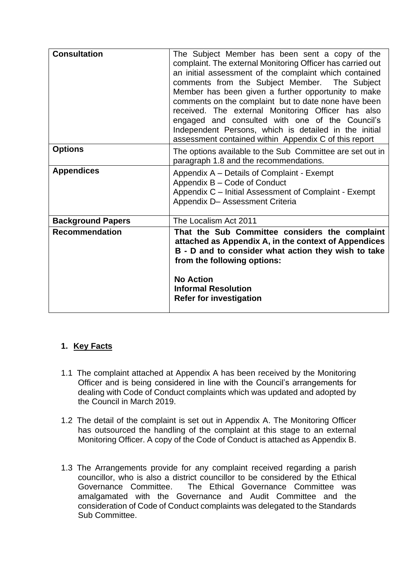| <b>Consultation</b>      | The Subject Member has been sent a copy of the<br>complaint. The external Monitoring Officer has carried out<br>an initial assessment of the complaint which contained<br>comments from the Subject Member. The Subject<br>Member has been given a further opportunity to make<br>comments on the complaint but to date none have been<br>received. The external Monitoring Officer has also<br>engaged and consulted with one of the Council's<br>Independent Persons, which is detailed in the initial<br>assessment contained within Appendix C of this report |
|--------------------------|-------------------------------------------------------------------------------------------------------------------------------------------------------------------------------------------------------------------------------------------------------------------------------------------------------------------------------------------------------------------------------------------------------------------------------------------------------------------------------------------------------------------------------------------------------------------|
| <b>Options</b>           | The options available to the Sub Committee are set out in<br>paragraph 1.8 and the recommendations.                                                                                                                                                                                                                                                                                                                                                                                                                                                               |
| <b>Appendices</b>        | Appendix A – Details of Complaint - Exempt<br>Appendix B - Code of Conduct<br>Appendix C – Initial Assessment of Complaint - Exempt<br>Appendix D- Assessment Criteria                                                                                                                                                                                                                                                                                                                                                                                            |
| <b>Background Papers</b> | The Localism Act 2011                                                                                                                                                                                                                                                                                                                                                                                                                                                                                                                                             |
| <b>Recommendation</b>    | That the Sub Committee considers the complaint<br>attached as Appendix A, in the context of Appendices<br>B - D and to consider what action they wish to take<br>from the following options:<br><b>No Action</b><br><b>Informal Resolution</b><br><b>Refer for investigation</b>                                                                                                                                                                                                                                                                                  |

### **1. Key Facts**

- 1.1 The complaint attached at Appendix A has been received by the Monitoring Officer and is being considered in line with the Council's arrangements for dealing with Code of Conduct complaints which was updated and adopted by the Council in March 2019.
- 1.2 The detail of the complaint is set out in Appendix A. The Monitoring Officer has outsourced the handling of the complaint at this stage to an external Monitoring Officer. A copy of the Code of Conduct is attached as Appendix B.
- 1.3 The Arrangements provide for any complaint received regarding a parish councillor, who is also a district councillor to be considered by the Ethical Governance Committee. The Ethical Governance Committee was amalgamated with the Governance and Audit Committee and the consideration of Code of Conduct complaints was delegated to the Standards Sub Committee.